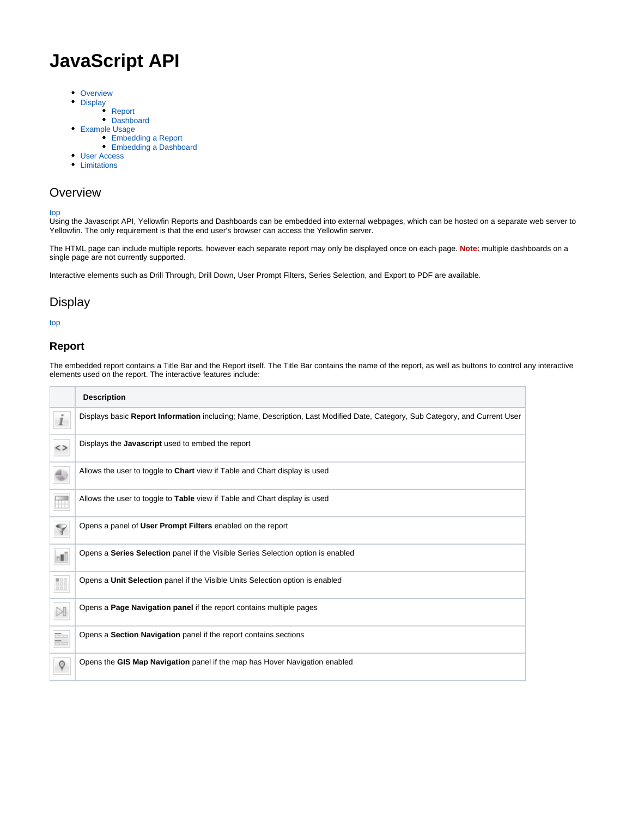# <span id="page-0-3"></span>**JavaScript API**

- [Overview](#page-0-0)
- [Display](#page-0-1)
	- [Report](#page-0-2)
- [Dashboard](#page-1-0)
- [Example Usage](#page-1-1)
	- [Embedding a Report](#page-1-2) [Embedding a Dashboard](#page-1-3)
- [User Access](#page-1-4)
- **•** [Limitations](#page-2-0)

## <span id="page-0-0"></span>**Overview**

#### [top](#page-0-3)

Using the Javascript API, Yellowfin Reports and Dashboards can be embedded into external webpages, which can be hosted on a separate web server to Yellowfin. The only requirement is that the end user's browser can access the Yellowfin server.

The HTML page can include multiple reports, however each separate report may only be displayed once on each page. **Note:** multiple dashboards on a single page are not currently supported.

Interactive elements such as Drill Through, Drill Down, User Prompt Filters, Series Selection, and Export to PDF are available.

## <span id="page-0-1"></span>**Display**

#### [top](#page-0-3)

#### <span id="page-0-2"></span>**Report**

The embedded report contains a Title Bar and the Report itself. The Title Bar contains the name of the report, as well as buttons to control any interactive elements used on the report. The interactive features include:

|                | <b>Description</b>                                                                                                           |
|----------------|------------------------------------------------------------------------------------------------------------------------------|
| i              | Displays basic Report Information including; Name, Description, Last Modified Date, Category, Sub Category, and Current User |
| <>             | Displays the Javascript used to embed the report                                                                             |
|                | Allows the user to toggle to <b>Chart</b> view if Table and Chart display is used                                            |
| $\blacksquare$ | Allows the user to toggle to Table view if Table and Chart display is used                                                   |
| 7              | Opens a panel of User Prompt Filters enabled on the report                                                                   |
| d)             | Opens a Series Selection panel if the Visible Series Selection option is enabled                                             |
| 鼺              | Opens a Unit Selection panel if the Visible Units Selection option is enabled                                                |
| $\bowtie$      | Opens a Page Navigation panel if the report contains multiple pages                                                          |
| ÷.             | Opens a Section Navigation panel if the report contains sections                                                             |
| Q              | Opens the GIS Map Navigation panel if the map has Hover Navigation enabled                                                   |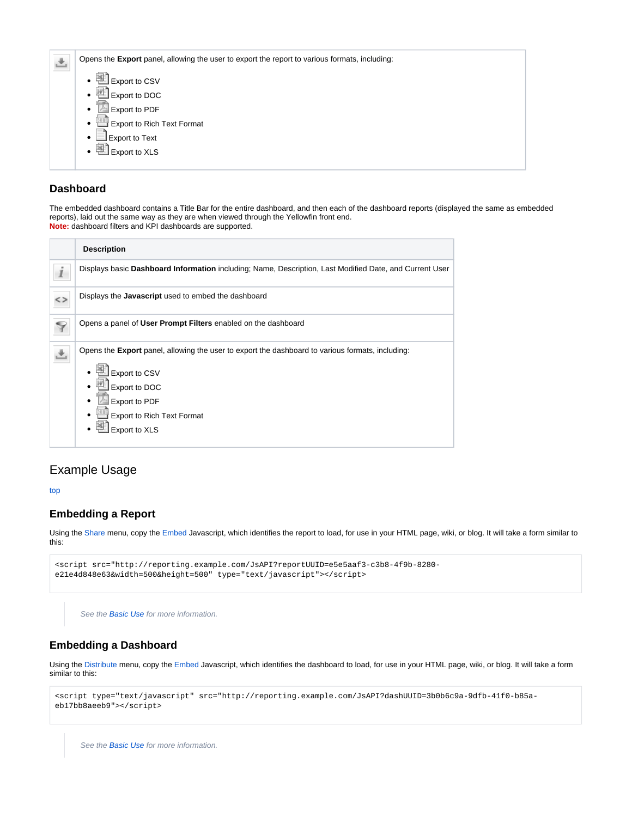| Opens the Export panel, allowing the user to export the report to various formats, including: |
|-----------------------------------------------------------------------------------------------|
| 当<br>Export to CSV<br>Export to DOC<br>25                                                     |
| Export to PDF                                                                                 |
| Export to Rich Text Format<br><b>Export to Text</b><br>٠                                      |
| <b>Export to XLS</b><br>≔                                                                     |
|                                                                                               |

### <span id="page-1-0"></span>**Dashboard**

The embedded dashboard contains a Title Bar for the entire dashboard, and then each of the dashboard reports (displayed the same as embedded reports), laid out the same way as they are when viewed through the Yellowfin front end. **Note:** dashboard filters and KPI dashboards are supported.

| <b>Description</b>                                                                                                       |
|--------------------------------------------------------------------------------------------------------------------------|
| Displays basic Dashboard Information including; Name, Description, Last Modified Date, and Current User                  |
| Displays the Javascript used to embed the dashboard                                                                      |
| Opens a panel of User Prompt Filters enabled on the dashboard                                                            |
| Opens the <b>Export</b> panel, allowing the user to export the dashboard to various formats, including:<br>Export to CSV |
| Export to DOC                                                                                                            |
| Export to PDF<br><b>Export to Rich Text Format</b>                                                                       |
| Export to XLS                                                                                                            |
|                                                                                                                          |

# <span id="page-1-1"></span>Example Usage

[top](#page-0-3)

## <span id="page-1-2"></span>**Embedding a Report**

Using the [Share](https://wiki.yellowfinbi.com/display/USER73Plus/Sharing) menu, copy the [Embed](https://wiki.yellowfinbi.com/display/USER73Plus/Embed) Javascript, which identifies the report to load, for use in your HTML page, wiki, or blog. It will take a form similar to this:

```
<script src="http://reporting.example.com/JsAPI?reportUUID=e5e5aaf3-c3b8-4f9b-8280-
e21e4d848e63&width=500&height=500" type="text/javascript"></script>
```
See the **Basic Use** for more information.

#### <span id="page-1-3"></span>**Embedding a Dashboard**

Using the [Distribute](https://wiki.yellowfinbi.com/display/USER73Plus/Tab+Security#TabSecurity-DistributingaPublicTab) menu, copy the [Embed](https://wiki.yellowfinbi.com/display/USER73Plus/Tab+Security#TabSecurity-Embed) Javascript, which identifies the dashboard to load, for use in your HTML page, wiki, or blog. It will take a form similar to this:

```
<script type="text/javascript" src="http://reporting.example.com/JsAPI?dashUUID=3b0b6c9a-9dfb-41f0-b85a-
eb17bb8aeeb9"></script>
```
<span id="page-1-4"></span>See the **Basic Use** for more information.